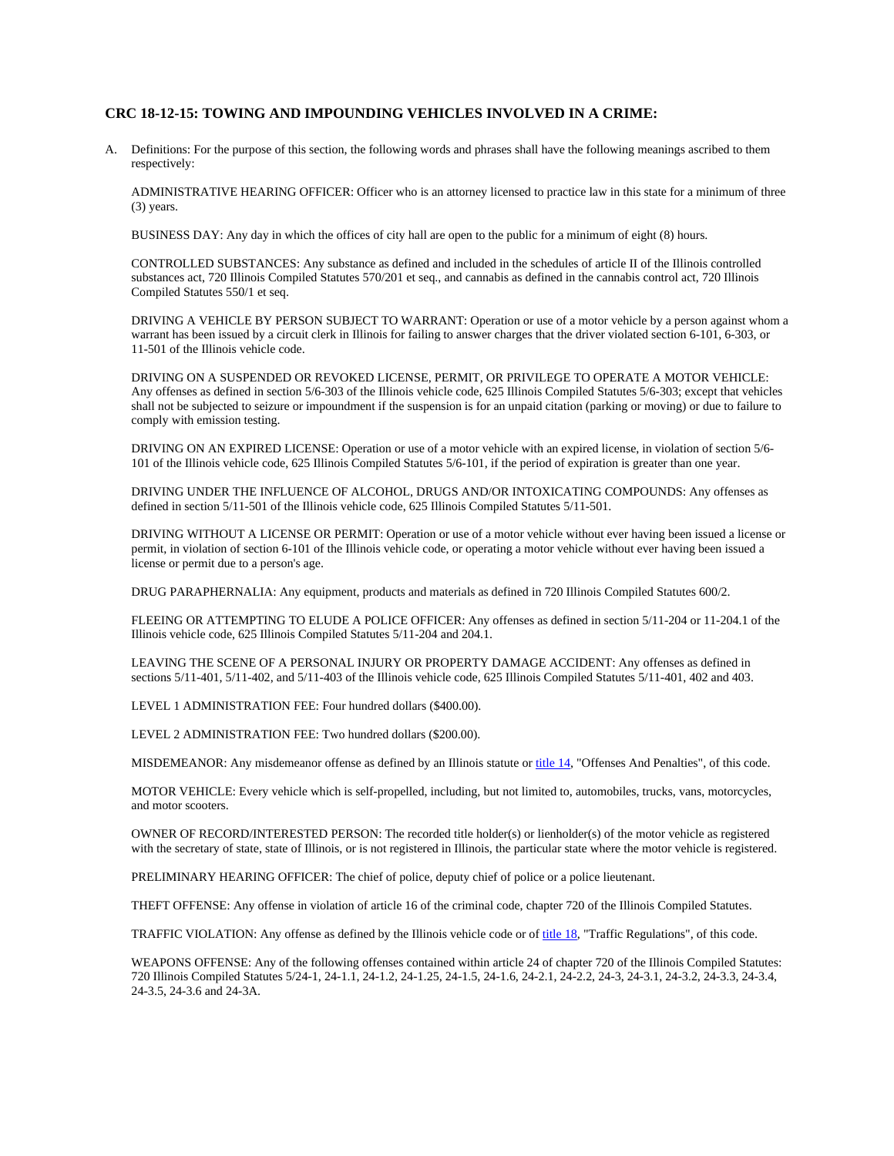## **CRC 18-12-15: TOWING AND IMPOUNDING VEHICLES INVOLVED IN A CRIME:**

A. Definitions: For the purpose of this section, the following words and phrases shall have the following meanings ascribed to them respectively:

ADMINISTRATIVE HEARING OFFICER: Officer who is an attorney licensed to practice law in this state for a minimum of three (3) years.

BUSINESS DAY: Any day in which the offices of city hall are open to the public for a minimum of eight (8) hours.

CONTROLLED SUBSTANCES: Any substance as defined and included in the schedules of article II of the Illinois controlled substances act, 720 Illinois Compiled Statutes 570/201 et seq., and cannabis as defined in the cannabis control act, 720 Illinois Compiled Statutes 550/1 et seq.

DRIVING A VEHICLE BY PERSON SUBJECT TO WARRANT: Operation or use of a motor vehicle by a person against whom a warrant has been issued by a circuit clerk in Illinois for failing to answer charges that the driver violated section 6-101, 6-303, or 11-501 of the Illinois vehicle code.

DRIVING ON A SUSPENDED OR REVOKED LICENSE, PERMIT, OR PRIVILEGE TO OPERATE A MOTOR VEHICLE: Any offenses as defined in section 5/6-303 of the Illinois vehicle code, 625 Illinois Compiled Statutes 5/6-303; except that vehicles shall not be subjected to seizure or impoundment if the suspension is for an unpaid citation (parking or moving) or due to failure to comply with emission testing.

DRIVING ON AN EXPIRED LICENSE: Operation or use of a motor vehicle with an expired license, in violation of section 5/6- 101 of the Illinois vehicle code, 625 Illinois Compiled Statutes 5/6-101, if the period of expiration is greater than one year.

DRIVING UNDER THE INFLUENCE OF ALCOHOL, DRUGS AND/OR INTOXICATING COMPOUNDS: Any offenses as defined in section 5/11-501 of the Illinois vehicle code, 625 Illinois Compiled Statutes 5/11-501.

DRIVING WITHOUT A LICENSE OR PERMIT: Operation or use of a motor vehicle without ever having been issued a license or permit, in violation of section 6-101 of the Illinois vehicle code, or operating a motor vehicle without ever having been issued a license or permit due to a person's age.

DRUG PARAPHERNALIA: Any equipment, products and materials as defined in 720 Illinois Compiled Statutes 600/2.

FLEEING OR ATTEMPTING TO ELUDE A POLICE OFFICER: Any offenses as defined in section 5/11-204 or 11-204.1 of the Illinois vehicle code, 625 Illinois Compiled Statutes 5/11-204 and 204.1.

LEAVING THE SCENE OF A PERSONAL INJURY OR PROPERTY DAMAGE ACCIDENT: Any offenses as defined in sections 5/11-401, 5/11-402, and 5/11-403 of the Illinois vehicle code, 625 Illinois Compiled Statutes 5/11-401, 402 and 403.

LEVEL 1 ADMINISTRATION FEE: Four hundred dollars (\$400.00).

LEVEL 2 ADMINISTRATION FEE: Two hundred dollars (\$200.00).

MISDEMEANOR: Any misdemeanor offense as defined by an Illinois statute or title 14, "Offenses And Penalties", of this code.

MOTOR VEHICLE: Every vehicle which is self-propelled, including, but not limited to, automobiles, trucks, vans, motorcycles, and motor scooters.

OWNER OF RECORD/INTERESTED PERSON: The recorded title holder(s) or lienholder(s) of the motor vehicle as registered with the secretary of state, state of Illinois, or is not registered in Illinois, the particular state where the motor vehicle is registered.

PRELIMINARY HEARING OFFICER: The chief of police, deputy chief of police or a police lieutenant.

THEFT OFFENSE: Any offense in violation of article 16 of the criminal code, chapter 720 of the Illinois Compiled Statutes.

TRAFFIC VIOLATION: Any offense as defined by the Illinois vehicle code or of title 18, "Traffic Regulations", of this code.

WEAPONS OFFENSE: Any of the following offenses contained within article 24 of chapter 720 of the Illinois Compiled Statutes: 720 Illinois Compiled Statutes 5/24-1, 24-1.1, 24-1.2, 24-1.25, 24-1.5, 24-1.6, 24-2.1, 24-2.2, 24-3, 24-3.1, 24-3.2, 24-3.3, 24-3.4, 24-3.5, 24-3.6 and 24-3A.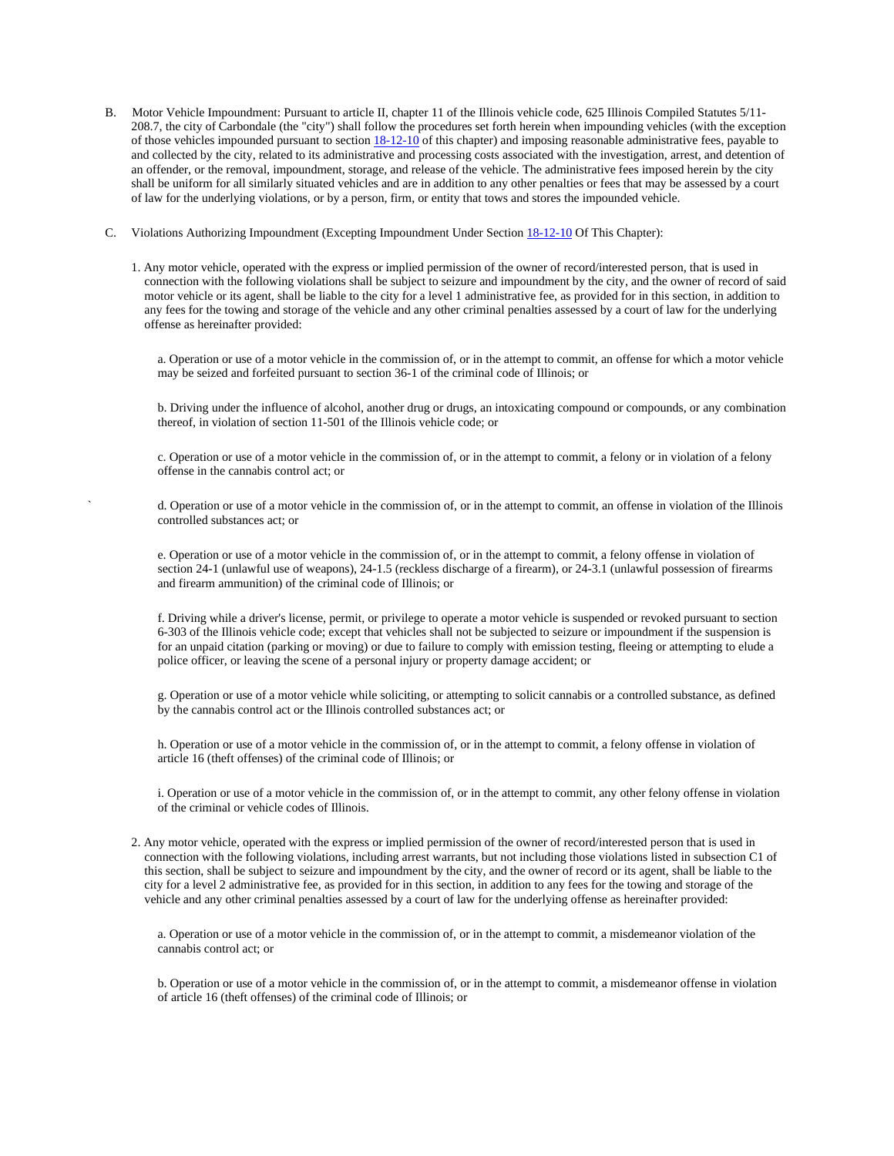- B. Motor Vehicle Impoundment: Pursuant to article II, chapter 11 of the Illinois vehicle code, 625 Illinois Compiled Statutes 5/11- 208.7, the city of Carbondale (the "city") shall follow the procedures set forth herein when impounding vehicles (with the exception of those vehicles impounded pursuant to section 18-12-10 of this chapter) and imposing reasonable administrative fees, payable to and collected by the city, related to its administrative and processing costs associated with the investigation, arrest, and detention of an offender, or the removal, impoundment, storage, and release of the vehicle. The administrative fees imposed herein by the city shall be uniform for all similarly situated vehicles and are in addition to any other penalties or fees that may be assessed by a court of law for the underlying violations, or by a person, firm, or entity that tows and stores the impounded vehicle.
- C. Violations Authorizing Impoundment (Excepting Impoundment Under Section 18-12-10 Of This Chapter):
	- 1. Any motor vehicle, operated with the express or implied permission of the owner of record/interested person, that is used in connection with the following violations shall be subject to seizure and impoundment by the city, and the owner of record of said motor vehicle or its agent, shall be liable to the city for a level 1 administrative fee, as provided for in this section, in addition to any fees for the towing and storage of the vehicle and any other criminal penalties assessed by a court of law for the underlying offense as hereinafter provided:

a. Operation or use of a motor vehicle in the commission of, or in the attempt to commit, an offense for which a motor vehicle may be seized and forfeited pursuant to section 36-1 of the criminal code of Illinois; or

b. Driving under the influence of alcohol, another drug or drugs, an intoxicating compound or compounds, or any combination thereof, in violation of section 11-501 of the Illinois vehicle code; or

c. Operation or use of a motor vehicle in the commission of, or in the attempt to commit, a felony or in violation of a felony offense in the cannabis control act; or

` d. Operation or use of a motor vehicle in the commission of, or in the attempt to commit, an offense in violation of the Illinois controlled substances act; or

e. Operation or use of a motor vehicle in the commission of, or in the attempt to commit, a felony offense in violation of section 24-1 (unlawful use of weapons), 24-1.5 (reckless discharge of a firearm), or 24-3.1 (unlawful possession of firearms and firearm ammunition) of the criminal code of Illinois; or

f. Driving while a driver's license, permit, or privilege to operate a motor vehicle is suspended or revoked pursuant to section 6-303 of the Illinois vehicle code; except that vehicles shall not be subjected to seizure or impoundment if the suspension is for an unpaid citation (parking or moving) or due to failure to comply with emission testing, fleeing or attempting to elude a police officer, or leaving the scene of a personal injury or property damage accident; or

g. Operation or use of a motor vehicle while soliciting, or attempting to solicit cannabis or a controlled substance, as defined by the cannabis control act or the Illinois controlled substances act; or

h. Operation or use of a motor vehicle in the commission of, or in the attempt to commit, a felony offense in violation of article 16 (theft offenses) of the criminal code of Illinois; or

i. Operation or use of a motor vehicle in the commission of, or in the attempt to commit, any other felony offense in violation of the criminal or vehicle codes of Illinois.

2. Any motor vehicle, operated with the express or implied permission of the owner of record/interested person that is used in connection with the following violations, including arrest warrants, but not including those violations listed in subsection C1 of this section, shall be subject to seizure and impoundment by the city, and the owner of record or its agent, shall be liable to the city for a level 2 administrative fee, as provided for in this section, in addition to any fees for the towing and storage of the vehicle and any other criminal penalties assessed by a court of law for the underlying offense as hereinafter provided:

a. Operation or use of a motor vehicle in the commission of, or in the attempt to commit, a misdemeanor violation of the cannabis control act; or

b. Operation or use of a motor vehicle in the commission of, or in the attempt to commit, a misdemeanor offense in violation of article 16 (theft offenses) of the criminal code of Illinois; or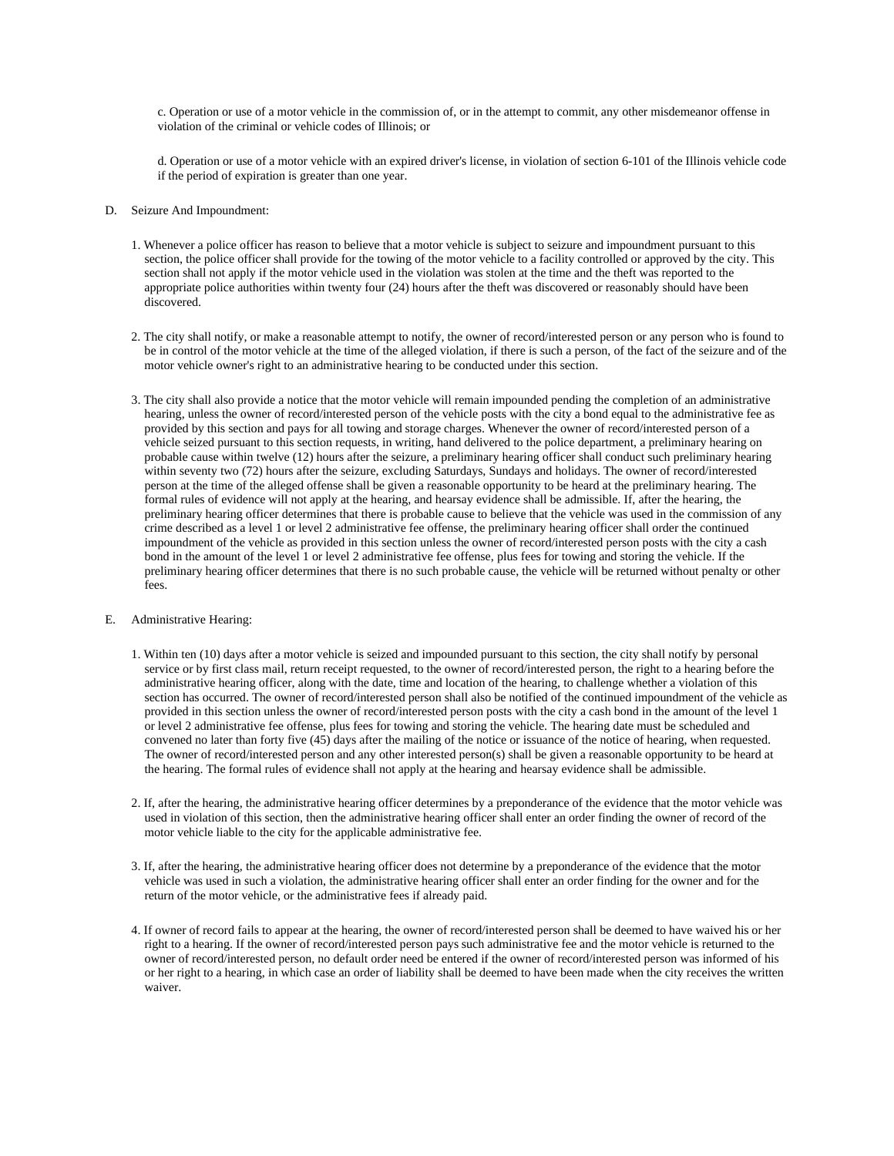c. Operation or use of a motor vehicle in the commission of, or in the attempt to commit, any other misdemeanor offense in violation of the criminal or vehicle codes of Illinois; or

d. Operation or use of a motor vehicle with an expired driver's license, in violation of section 6-101 of the Illinois vehicle code if the period of expiration is greater than one year.

- D. Seizure And Impoundment:
	- 1. Whenever a police officer has reason to believe that a motor vehicle is subject to seizure and impoundment pursuant to this section, the police officer shall provide for the towing of the motor vehicle to a facility controlled or approved by the city. This section shall not apply if the motor vehicle used in the violation was stolen at the time and the theft was reported to the appropriate police authorities within twenty four (24) hours after the theft was discovered or reasonably should have been discovered.
	- 2. The city shall notify, or make a reasonable attempt to notify, the owner of record/interested person or any person who is found to be in control of the motor vehicle at the time of the alleged violation, if there is such a person, of the fact of the seizure and of the motor vehicle owner's right to an administrative hearing to be conducted under this section.
	- 3. The city shall also provide a notice that the motor vehicle will remain impounded pending the completion of an administrative hearing, unless the owner of record/interested person of the vehicle posts with the city a bond equal to the administrative fee as provided by this section and pays for all towing and storage charges. Whenever the owner of record/interested person of a vehicle seized pursuant to this section requests, in writing, hand delivered to the police department, a preliminary hearing on probable cause within twelve (12) hours after the seizure, a preliminary hearing officer shall conduct such preliminary hearing within seventy two (72) hours after the seizure, excluding Saturdays, Sundays and holidays. The owner of record/interested person at the time of the alleged offense shall be given a reasonable opportunity to be heard at the preliminary hearing. The formal rules of evidence will not apply at the hearing, and hearsay evidence shall be admissible. If, after the hearing, the preliminary hearing officer determines that there is probable cause to believe that the vehicle was used in the commission of any crime described as a level 1 or level 2 administrative fee offense, the preliminary hearing officer shall order the continued impoundment of the vehicle as provided in this section unless the owner of record/interested person posts with the city a cash bond in the amount of the level 1 or level 2 administrative fee offense, plus fees for towing and storing the vehicle. If the preliminary hearing officer determines that there is no such probable cause, the vehicle will be returned without penalty or other fees.
- E. Administrative Hearing:
	- 1. Within ten (10) days after a motor vehicle is seized and impounded pursuant to this section, the city shall notify by personal service or by first class mail, return receipt requested, to the owner of record/interested person, the right to a hearing before the administrative hearing officer, along with the date, time and location of the hearing, to challenge whether a violation of this section has occurred. The owner of record/interested person shall also be notified of the continued impoundment of the vehicle as provided in this section unless the owner of record/interested person posts with the city a cash bond in the amount of the level 1 or level 2 administrative fee offense, plus fees for towing and storing the vehicle. The hearing date must be scheduled and convened no later than forty five (45) days after the mailing of the notice or issuance of the notice of hearing, when requested. The owner of record/interested person and any other interested person(s) shall be given a reasonable opportunity to be heard at the hearing. The formal rules of evidence shall not apply at the hearing and hearsay evidence shall be admissible.
	- 2. If, after the hearing, the administrative hearing officer determines by a preponderance of the evidence that the motor vehicle was used in violation of this section, then the administrative hearing officer shall enter an order finding the owner of record of the motor vehicle liable to the city for the applicable administrative fee.
	- 3. If, after the hearing, the administrative hearing officer does not determine by a preponderance of the evidence that the motor vehicle was used in such a violation, the administrative hearing officer shall enter an order finding for the owner and for the return of the motor vehicle, or the administrative fees if already paid.
	- 4. If owner of record fails to appear at the hearing, the owner of record/interested person shall be deemed to have waived his or her right to a hearing. If the owner of record/interested person pays such administrative fee and the motor vehicle is returned to the owner of record/interested person, no default order need be entered if the owner of record/interested person was informed of his or her right to a hearing, in which case an order of liability shall be deemed to have been made when the city receives the written waiver.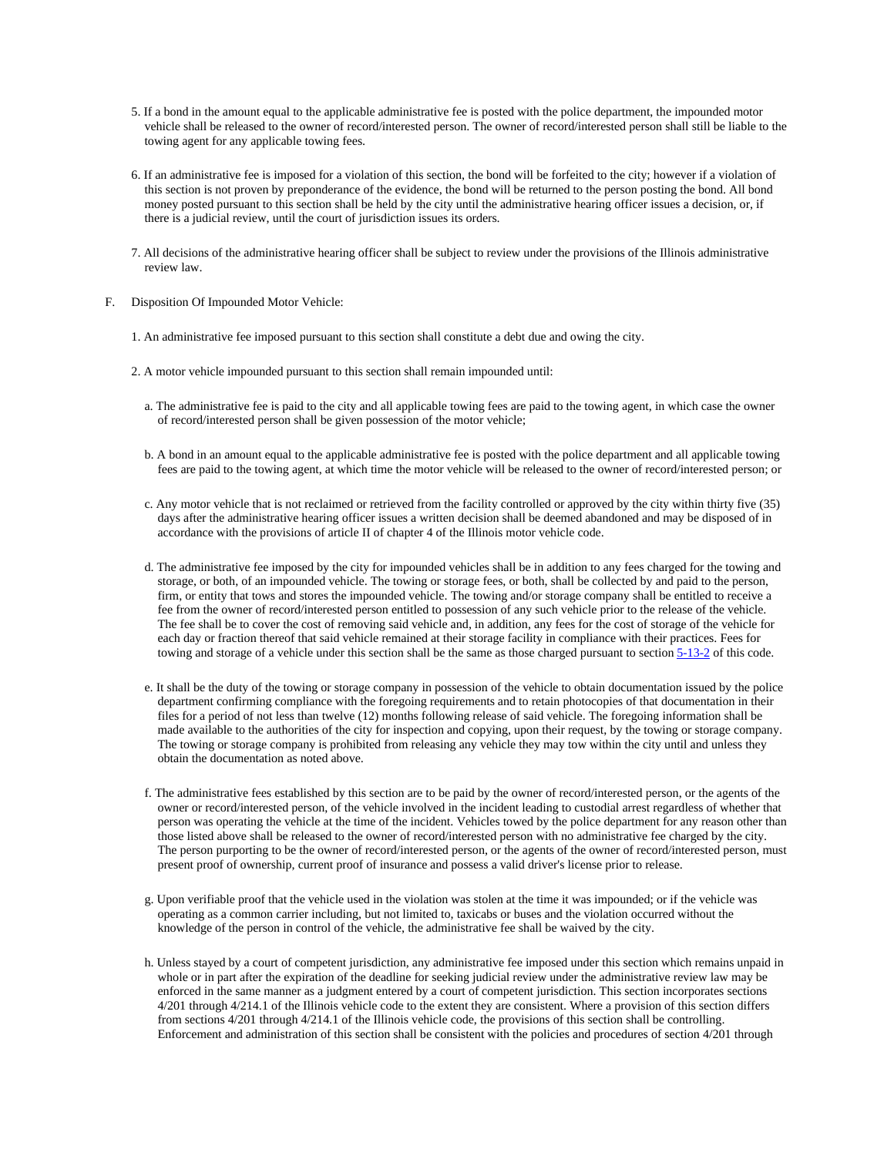- 5. If a bond in the amount equal to the applicable administrative fee is posted with the police department, the impounded motor vehicle shall be released to the owner of record/interested person. The owner of record/interested person shall still be liable to the towing agent for any applicable towing fees.
- 6. If an administrative fee is imposed for a violation of this section, the bond will be forfeited to the city; however if a violation of this section is not proven by preponderance of the evidence, the bond will be returned to the person posting the bond. All bond money posted pursuant to this section shall be held by the city until the administrative hearing officer issues a decision, or, if there is a judicial review, until the court of jurisdiction issues its orders.
- 7. All decisions of the administrative hearing officer shall be subject to review under the provisions of the Illinois administrative review law.
- F. Disposition Of Impounded Motor Vehicle:
	- 1. An administrative fee imposed pursuant to this section shall constitute a debt due and owing the city.
	- 2. A motor vehicle impounded pursuant to this section shall remain impounded until:
		- a. The administrative fee is paid to the city and all applicable towing fees are paid to the towing agent, in which case the owner of record/interested person shall be given possession of the motor vehicle;
		- b. A bond in an amount equal to the applicable administrative fee is posted with the police department and all applicable towing fees are paid to the towing agent, at which time the motor vehicle will be released to the owner of record/interested person; or
		- c. Any motor vehicle that is not reclaimed or retrieved from the facility controlled or approved by the city within thirty five (35) days after the administrative hearing officer issues a written decision shall be deemed abandoned and may be disposed of in accordance with the provisions of article II of chapter 4 of the Illinois motor vehicle code.
		- d. The administrative fee imposed by the city for impounded vehicles shall be in addition to any fees charged for the towing and storage, or both, of an impounded vehicle. The towing or storage fees, or both, shall be collected by and paid to the person, firm, or entity that tows and stores the impounded vehicle. The towing and/or storage company shall be entitled to receive a fee from the owner of record/interested person entitled to possession of any such vehicle prior to the release of the vehicle. The fee shall be to cover the cost of removing said vehicle and, in addition, any fees for the cost of storage of the vehicle for each day or fraction thereof that said vehicle remained at their storage facility in compliance with their practices. Fees for towing and storage of a vehicle under this section shall be the same as those charged pursuant to section 5-13-2 of this code.
		- e. It shall be the duty of the towing or storage company in possession of the vehicle to obtain documentation issued by the police department confirming compliance with the foregoing requirements and to retain photocopies of that documentation in their files for a period of not less than twelve (12) months following release of said vehicle. The foregoing information shall be made available to the authorities of the city for inspection and copying, upon their request, by the towing or storage company. The towing or storage company is prohibited from releasing any vehicle they may tow within the city until and unless they obtain the documentation as noted above.
		- f. The administrative fees established by this section are to be paid by the owner of record/interested person, or the agents of the owner or record/interested person, of the vehicle involved in the incident leading to custodial arrest regardless of whether that person was operating the vehicle at the time of the incident. Vehicles towed by the police department for any reason other than those listed above shall be released to the owner of record/interested person with no administrative fee charged by the city. The person purporting to be the owner of record/interested person, or the agents of the owner of record/interested person, must present proof of ownership, current proof of insurance and possess a valid driver's license prior to release.
		- g. Upon verifiable proof that the vehicle used in the violation was stolen at the time it was impounded; or if the vehicle was operating as a common carrier including, but not limited to, taxicabs or buses and the violation occurred without the knowledge of the person in control of the vehicle, the administrative fee shall be waived by the city.
		- h. Unless stayed by a court of competent jurisdiction, any administrative fee imposed under this section which remains unpaid in whole or in part after the expiration of the deadline for seeking judicial review under the administrative review law may be enforced in the same manner as a judgment entered by a court of competent jurisdiction. This section incorporates sections 4/201 through 4/214.1 of the Illinois vehicle code to the extent they are consistent. Where a provision of this section differs from sections 4/201 through 4/214.1 of the Illinois vehicle code, the provisions of this section shall be controlling. Enforcement and administration of this section shall be consistent with the policies and procedures of section 4/201 through